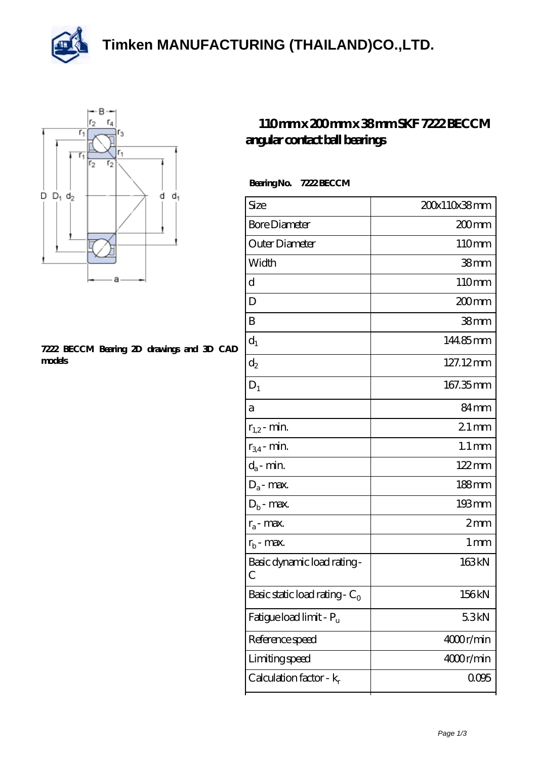**[Timken MANUFACTURING \(THAILAND\)CO.,LTD.](https://m.thereclaimer.net)**





## **[7222 BECCM Bearing 2D drawings and 3D CAD](https://m.thereclaimer.net/pic-65136452.html) [models](https://m.thereclaimer.net/pic-65136452.html)**

## **[110 mm x 200 mm x 38 mm SKF 7222 BECCM](https://m.thereclaimer.net/skf-7222-beccm-bearing/) [angular contact ball bearings](https://m.thereclaimer.net/skf-7222-beccm-bearing/)**

| <b>Bearing No.</b> | <b>7222 BECCM</b> |
|--------------------|-------------------|
|                    |                   |

| Size                             | 200x110x38mm        |
|----------------------------------|---------------------|
| <b>Bore Diameter</b>             | 200 <sub>mm</sub>   |
| Outer Diameter                   | 110mm               |
| Width                            | 38 <sub>mm</sub>    |
| d                                | 110mm               |
| D                                | 200mm               |
| B                                | 38 <sub>mm</sub>    |
| $d_1$                            | 14485mm             |
| $\mathrm{d}_2$                   | 127.12mm            |
| $D_1$                            | 167.35mm            |
| а                                | 84 <sub>mm</sub>    |
| $r_{1,2}$ - min.                 | $21$ mm             |
| $r_{34}$ - min.                  | $1.1 \,\mathrm{mm}$ |
| $d_a$ - min.                     | $122 \,\mathrm{mm}$ |
| $D_a$ - max.                     | $188 \text{mm}$     |
| $D_b$ - max.                     | $193 \,\mathrm{mm}$ |
| $r_a$ - max.                     | 2mm                 |
| $r_{b}$ - max.                   | $1 \,\mathrm{mm}$   |
| Basic dynamic load rating-<br>С  | 163kN               |
| Basic static load rating - $C_0$ | 156kN               |
| Fatigue load limit - Pu          | 53kN                |
| Reference speed                  | 4000r/min           |
| Limiting speed                   | 4000r/min           |
| Calculation factor - $k_r$       | 0005                |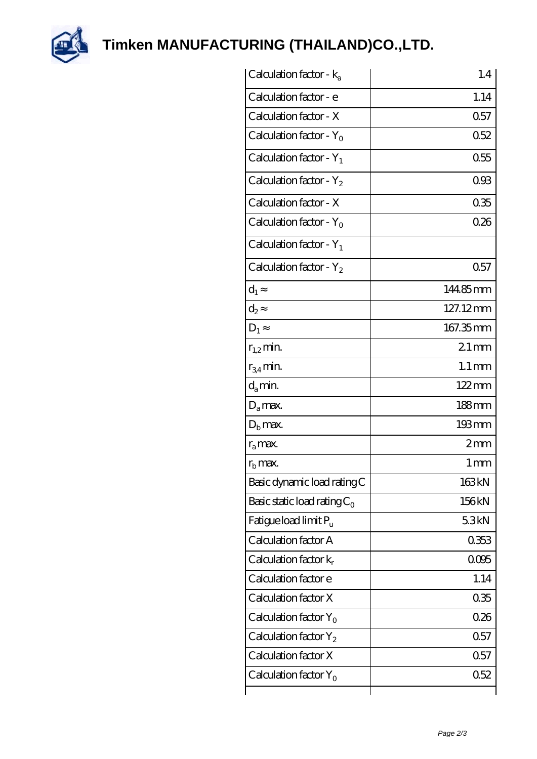

**[Timken MANUFACTURING \(THAILAND\)CO.,LTD.](https://m.thereclaimer.net)**

| Calculation factor - $k_a$     | 1.4                 |
|--------------------------------|---------------------|
| Calculation factor - e         | 1.14                |
| Calculation factor - X         | 0.57                |
| Calculation factor - $Y_0$     | 0.52                |
| Calculation factor - $Y_1$     | 0.55                |
| Calculation factor - $Y_2$     | 093                 |
| Calculation factor - X         | 035                 |
| Calculation factor - $Y_0$     | 0.26                |
| Calculation factor - $Y_1$     |                     |
| Calculation factor - $Y_2$     | 0.57                |
| $d_1$                          | 144.85mm            |
| $d_2$                          | 127.12mm            |
| $D_1$                          | 167.35mm            |
| $r_{1,2}$ min.                 | $21 \,\mathrm{mm}$  |
| $r_{34}$ min.                  | $1.1 \,\mathrm{mm}$ |
| $d_a$ min.                     | $122 \,\mathrm{mm}$ |
| $D_a$ max.                     | $188$ mm            |
| $D_{b}$ max.                   | 193mm               |
| $r_{\rm a}$ max.               | 2mm                 |
| $r_{\rm b}$ max.               | 1 <sub>mm</sub>     |
| Basic dynamic load rating C    | 163kN               |
| Basic static load rating $C_0$ | 156kN               |
| Fatigue load limit $P_{\rm u}$ | 53kN                |
| Calculation factor A           | 0353                |
| Calculation factor $k_r$       | 0095                |
| Calculation factor e           | 1.14                |
| Calculation factor X           | 035                 |
| Calculation factor $Y_0$       | 0.26                |
| Calculation factor $Y_2$       | 0.57                |
| Calculation factor X           | 0.57                |
| Calculation factor $Y_0$       | 0.52                |
|                                |                     |